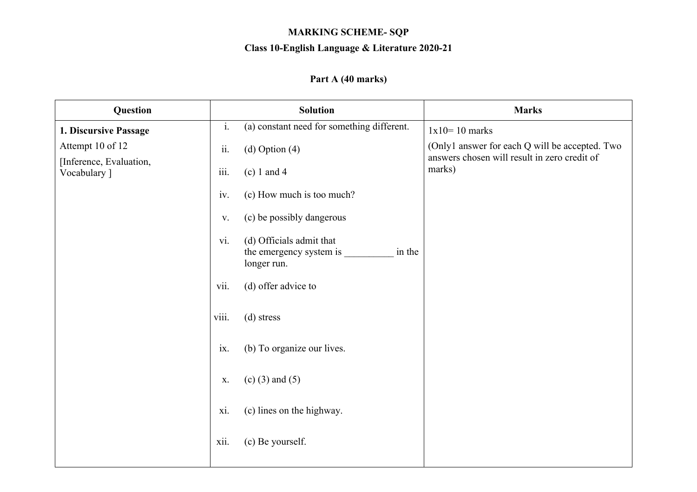## **MARKING SCHEME- SQP**

## **Class 10-English Language & Literature 2020-21**

## **Part A (40 marks)**

| Question                                    | <b>Solution</b>                                                                     | <b>Marks</b>                                                                                   |
|---------------------------------------------|-------------------------------------------------------------------------------------|------------------------------------------------------------------------------------------------|
| 1. Discursive Passage                       | $\mathbf{i}$ .<br>(a) constant need for something different.                        | $1x10=10$ marks                                                                                |
| Attempt 10 of 12<br>[Inference, Evaluation, | ii.<br>$(d)$ Option $(4)$                                                           | (Only1 answer for each Q will be accepted. Two<br>answers chosen will result in zero credit of |
| Vocabulary ]                                | $\dddot{\text{iii}}$ .<br>$(c) 1$ and 4                                             | marks)                                                                                         |
|                                             | (c) How much is too much?<br>iv.                                                    |                                                                                                |
|                                             | (c) be possibly dangerous<br>V.                                                     |                                                                                                |
|                                             | vi.<br>(d) Officials admit that<br>the emergency system is<br>in the<br>longer run. |                                                                                                |
|                                             | vii.<br>(d) offer advice to                                                         |                                                                                                |
|                                             | viii.<br>(d) stress                                                                 |                                                                                                |
|                                             | (b) To organize our lives.<br>ix.                                                   |                                                                                                |
|                                             | $(c)$ (3) and (5)<br>X.                                                             |                                                                                                |
|                                             | (c) lines on the highway.<br>xi.                                                    |                                                                                                |
|                                             | xii.<br>(c) Be yourself.                                                            |                                                                                                |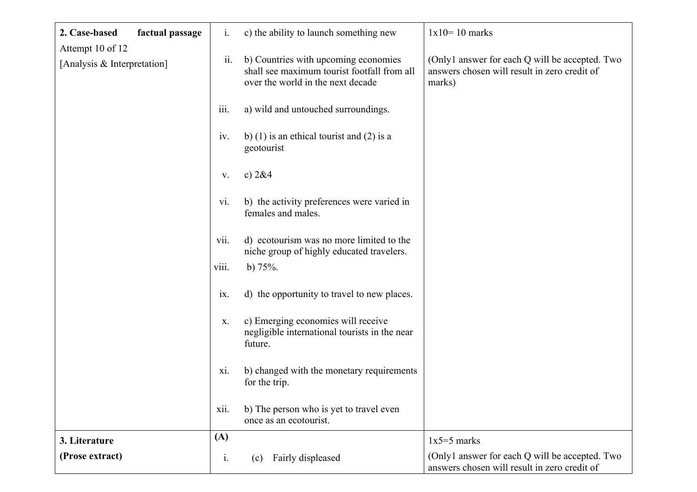| 2. Case-based<br>factual passage                | $\mathbf{i}$ .            | c) the ability to launch something new                                                                                   | $1x10=10$ marks                                                                                          |
|-------------------------------------------------|---------------------------|--------------------------------------------------------------------------------------------------------------------------|----------------------------------------------------------------------------------------------------------|
| Attempt 10 of 12<br>[Analysis & Interpretation] | ii.                       | b) Countries with upcoming economies<br>shall see maximum tourist footfall from all<br>over the world in the next decade | (Only1 answer for each Q will be accepted. Two<br>answers chosen will result in zero credit of<br>marks) |
|                                                 | iii.                      | a) wild and untouched surroundings.                                                                                      |                                                                                                          |
|                                                 | iv.                       | b) (1) is an ethical tourist and (2) is a<br>geotourist                                                                  |                                                                                                          |
|                                                 | V.                        | c) $2&4$                                                                                                                 |                                                                                                          |
|                                                 | vi.                       | b) the activity preferences were varied in<br>females and males.                                                         |                                                                                                          |
|                                                 | vii.                      | d) ecotourism was no more limited to the<br>niche group of highly educated travelers.                                    |                                                                                                          |
|                                                 | viii.                     | b) $75%$ .                                                                                                               |                                                                                                          |
|                                                 | $\mathbf{1} \mathbf{X}$ . | d) the opportunity to travel to new places.                                                                              |                                                                                                          |
|                                                 | X.                        | c) Emerging economies will receive<br>negligible international tourists in the near<br>future.                           |                                                                                                          |
|                                                 | xi.                       | b) changed with the monetary requirements<br>for the trip.                                                               |                                                                                                          |
|                                                 | xii.                      | b) The person who is yet to travel even<br>once as an ecotourist.                                                        |                                                                                                          |
| 3. Literature                                   | (A)                       |                                                                                                                          | $1x5=5$ marks                                                                                            |
| (Prose extract)                                 | $\mathbf{i}$ .            | Fairly displeased<br>(c)                                                                                                 | (Only1 answer for each Q will be accepted. Two<br>answers chosen will result in zero credit of           |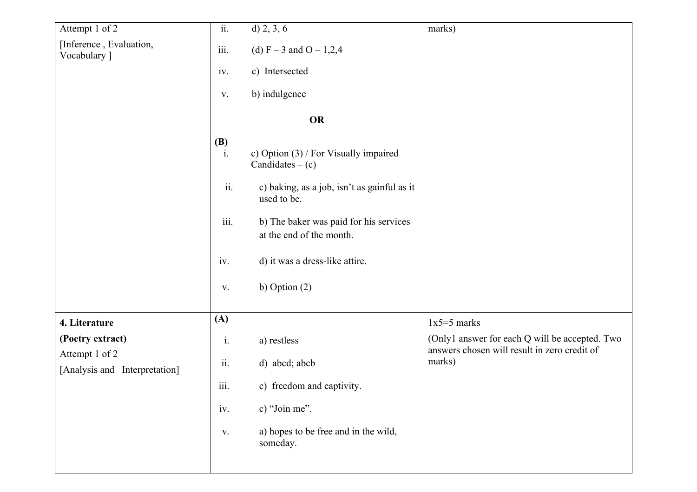| Attempt 1 of 2                                                      | $\overline{ii}$ .                                | $d)$ 2, 3, 6                                                                                                                                                                                                                     | marks)                                                                                                   |
|---------------------------------------------------------------------|--------------------------------------------------|----------------------------------------------------------------------------------------------------------------------------------------------------------------------------------------------------------------------------------|----------------------------------------------------------------------------------------------------------|
| [Inference, Evaluation,<br>Vocabulary ]                             | $\overline{\text{iii}}$ .                        | (d) $F - 3$ and $O - 1,2,4$                                                                                                                                                                                                      |                                                                                                          |
|                                                                     | iv.                                              | c) Intersected                                                                                                                                                                                                                   |                                                                                                          |
|                                                                     | V.                                               | b) indulgence                                                                                                                                                                                                                    |                                                                                                          |
|                                                                     |                                                  | <b>OR</b>                                                                                                                                                                                                                        |                                                                                                          |
|                                                                     | <b>(B)</b><br>$\ddot{i}$ .<br>ii.<br>iii.<br>iv. | c) Option (3) / For Visually impaired<br>Candidates $-(c)$<br>c) baking, as a job, isn't as gainful as it<br>used to be.<br>b) The baker was paid for his services<br>at the end of the month.<br>d) it was a dress-like attire. |                                                                                                          |
|                                                                     | V.                                               | b) Option $(2)$                                                                                                                                                                                                                  |                                                                                                          |
| 4. Literature                                                       | (A)                                              |                                                                                                                                                                                                                                  | $1x5=5$ marks                                                                                            |
| (Poetry extract)<br>Attempt 1 of 2<br>[Analysis and Interpretation] | $\rm i.$<br>ii.                                  | a) restless<br>d) abcd; abcb                                                                                                                                                                                                     | (Only1 answer for each Q will be accepted. Two<br>answers chosen will result in zero credit of<br>marks) |
|                                                                     | iii.                                             | c) freedom and captivity.                                                                                                                                                                                                        |                                                                                                          |
|                                                                     | iv.                                              | c) "Join me".                                                                                                                                                                                                                    |                                                                                                          |
|                                                                     | V.                                               | a) hopes to be free and in the wild,<br>someday.                                                                                                                                                                                 |                                                                                                          |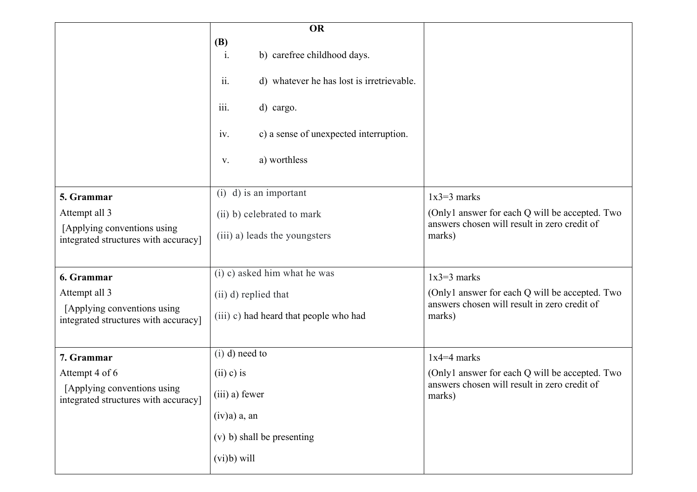|                                                                      | <b>OR</b>                                        |                                                        |
|----------------------------------------------------------------------|--------------------------------------------------|--------------------------------------------------------|
|                                                                      | <b>(B)</b><br>i.<br>b) carefree childhood days.  |                                                        |
|                                                                      | ii.<br>d) whatever he has lost is irretrievable. |                                                        |
|                                                                      | iii.<br>d) cargo.                                |                                                        |
|                                                                      | c) a sense of unexpected interruption.<br>iv.    |                                                        |
|                                                                      | a) worthless<br>V.                               |                                                        |
| 5. Grammar                                                           | $(i)$ d) is an important                         | $1x3=3$ marks                                          |
| Attempt all 3                                                        | (ii) b) celebrated to mark                       | (Only1 answer for each Q will be accepted. Two         |
| [Applying conventions using]<br>integrated structures with accuracy] | (iii) a) leads the youngsters                    | answers chosen will result in zero credit of<br>marks) |
| 6. Grammar                                                           | (i) c) asked him what he was                     | $1x3=3$ marks                                          |
| Attempt all 3                                                        | (ii) d) replied that                             | (Only1 answer for each Q will be accepted. Two         |
| [Applying conventions using<br>integrated structures with accuracy]  | (iii) c) had heard that people who had           | answers chosen will result in zero credit of<br>marks) |
| 7. Grammar                                                           | $(i)$ d) need to                                 | $1x4=4$ marks                                          |
| Attempt 4 of 6                                                       | $(ii)$ c) is                                     | (Only1 answer for each Q will be accepted. Two         |
| [Applying conventions using<br>integrated structures with accuracy]  | (iii) a) fewer                                   | answers chosen will result in zero credit of<br>marks) |
|                                                                      | (iv)a) a, an                                     |                                                        |
|                                                                      | (v) b) shall be presenting                       |                                                        |
|                                                                      | $(vi)b)$ will                                    |                                                        |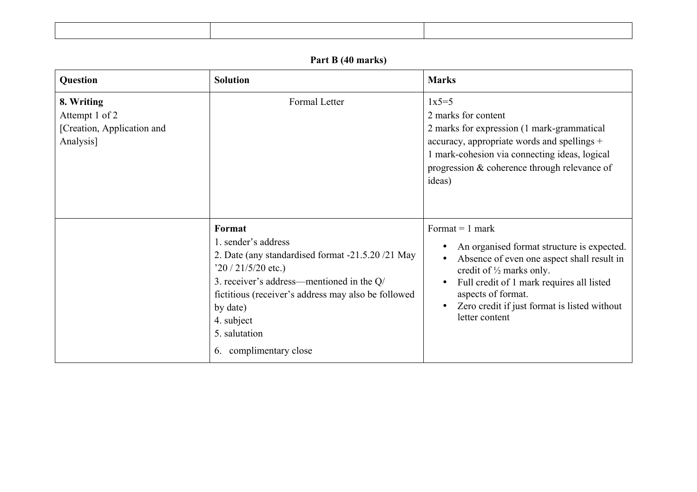## **Part B (40 marks)**

| <b>Question</b>                                                         | <b>Solution</b>                                                                                                                                                                                                                                                                   | <b>Marks</b>                                                                                                                                                                                                                                                                                                                     |
|-------------------------------------------------------------------------|-----------------------------------------------------------------------------------------------------------------------------------------------------------------------------------------------------------------------------------------------------------------------------------|----------------------------------------------------------------------------------------------------------------------------------------------------------------------------------------------------------------------------------------------------------------------------------------------------------------------------------|
| 8. Writing<br>Attempt 1 of 2<br>[Creation, Application and<br>Analysis] | Formal Letter                                                                                                                                                                                                                                                                     | $1x5=5$<br>2 marks for content<br>2 marks for expression (1 mark-grammatical<br>accuracy, appropriate words and spellings +<br>1 mark-cohesion via connecting ideas, logical<br>progression $&$ coherence through relevance of<br>ideas)                                                                                         |
|                                                                         | Format<br>1. sender's address<br>2. Date (any standardised format -21.5.20 /21 May<br>$20/21/5/20$ etc.)<br>3. receiver's address—mentioned in the Q/<br>fictitious (receiver's address may also be followed<br>by date)<br>4. subject<br>5. salutation<br>6. complimentary close | Format $= 1$ mark<br>An organised format structure is expected.<br>Absence of even one aspect shall result in<br>$\bullet$<br>credit of $\frac{1}{2}$ marks only.<br>Full credit of 1 mark requires all listed<br>$\bullet$<br>aspects of format.<br>Zero credit if just format is listed without<br>$\bullet$<br>letter content |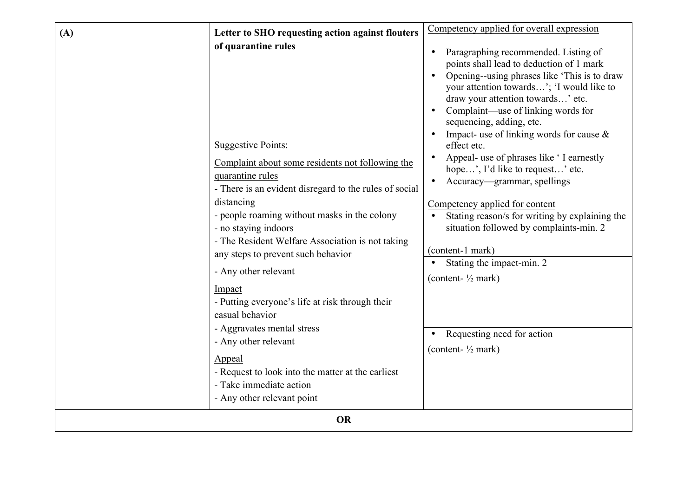| (A) | Letter to SHO requesting action against flouters                                                                                                                                                                                                                                                                                                                                                                                                                                                                                                                                                                           | Competency applied for overall expression                                                                                                                                                                                                                                                                                                                                                                                                                                                                                                                                                                                                                                                                                                         |  |
|-----|----------------------------------------------------------------------------------------------------------------------------------------------------------------------------------------------------------------------------------------------------------------------------------------------------------------------------------------------------------------------------------------------------------------------------------------------------------------------------------------------------------------------------------------------------------------------------------------------------------------------------|---------------------------------------------------------------------------------------------------------------------------------------------------------------------------------------------------------------------------------------------------------------------------------------------------------------------------------------------------------------------------------------------------------------------------------------------------------------------------------------------------------------------------------------------------------------------------------------------------------------------------------------------------------------------------------------------------------------------------------------------------|--|
|     | of quarantine rules<br><b>Suggestive Points:</b><br>Complaint about some residents not following the<br>quarantine rules<br>- There is an evident disregard to the rules of social<br>distancing<br>- people roaming without masks in the colony<br>- no staying indoors<br>- The Resident Welfare Association is not taking<br>any steps to prevent such behavior<br>- Any other relevant<br>Impact<br>- Putting everyone's life at risk through their<br>casual behavior<br>- Aggravates mental stress<br>- Any other relevant<br>Appeal<br>- Request to look into the matter at the earliest<br>- Take immediate action | Paragraphing recommended. Listing of<br>points shall lead to deduction of 1 mark<br>Opening--using phrases like 'This is to draw<br>your attention towards'; 'I would like to<br>draw your attention towards' etc.<br>Complaint-use of linking words for<br>sequencing, adding, etc.<br>Impact- use of linking words for cause $\&$<br>effect etc.<br>Appeal- use of phrases like 'I earnestly<br>hope', I'd like to request' etc.<br>Accuracy—grammar, spellings<br>Competency applied for content<br>Stating reason/s for writing by explaining the<br>situation followed by complaints-min. 2<br>(content-1 mark)<br>Stating the impact-min. 2<br>(content- $\frac{1}{2}$ mark)<br>Requesting need for action<br>(content- $\frac{1}{2}$ mark) |  |
|     | - Any other relevant point<br><b>OR</b>                                                                                                                                                                                                                                                                                                                                                                                                                                                                                                                                                                                    |                                                                                                                                                                                                                                                                                                                                                                                                                                                                                                                                                                                                                                                                                                                                                   |  |
|     |                                                                                                                                                                                                                                                                                                                                                                                                                                                                                                                                                                                                                            |                                                                                                                                                                                                                                                                                                                                                                                                                                                                                                                                                                                                                                                                                                                                                   |  |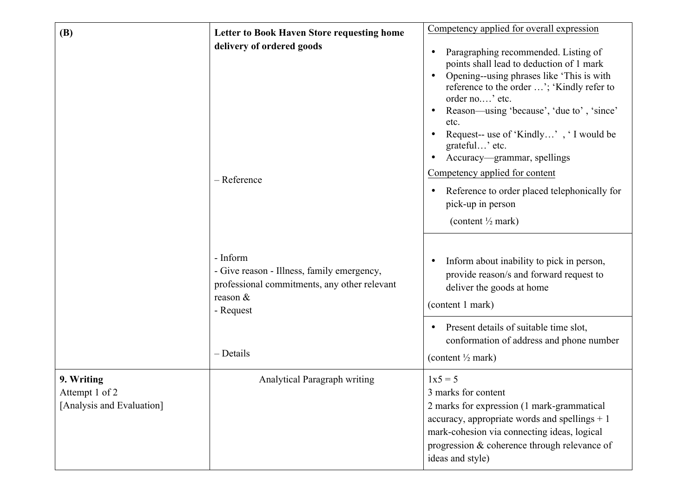| <b>(B)</b>                                                | <b>Letter to Book Haven Store requesting home</b>                                                                                 | Competency applied for overall expression                                                                                                                                                                                                                                                                                                                                                                                                                                            |
|-----------------------------------------------------------|-----------------------------------------------------------------------------------------------------------------------------------|--------------------------------------------------------------------------------------------------------------------------------------------------------------------------------------------------------------------------------------------------------------------------------------------------------------------------------------------------------------------------------------------------------------------------------------------------------------------------------------|
|                                                           | delivery of ordered goods<br>- Reference                                                                                          | Paragraphing recommended. Listing of<br>points shall lead to deduction of 1 mark<br>Opening--using phrases like 'This is with<br>reference to the order '; 'Kindly refer to<br>order no' etc.<br>Reason—using 'because', 'due to', 'since'<br>etc.<br>Request-- use of 'Kindly', 'I would be<br>grateful' etc.<br>Accuracy-grammar, spellings<br>Competency applied for content<br>Reference to order placed telephonically for<br>pick-up in person<br>(content $\frac{1}{2}$ mark) |
|                                                           | - Inform<br>- Give reason - Illness, family emergency,<br>professional commitments, any other relevant<br>reason $&$<br>- Request | Inform about inability to pick in person,<br>provide reason/s and forward request to<br>deliver the goods at home<br>(content 1 mark)<br>Present details of suitable time slot,                                                                                                                                                                                                                                                                                                      |
|                                                           | - Details                                                                                                                         | conformation of address and phone number<br>(content $\frac{1}{2}$ mark)                                                                                                                                                                                                                                                                                                                                                                                                             |
| 9. Writing<br>Attempt 1 of 2<br>[Analysis and Evaluation] | Analytical Paragraph writing                                                                                                      | $1x5 = 5$<br>3 marks for content<br>2 marks for expression (1 mark-grammatical<br>accuracy, appropriate words and spellings $+1$<br>mark-cohesion via connecting ideas, logical<br>progression & coherence through relevance of<br>ideas and style)                                                                                                                                                                                                                                  |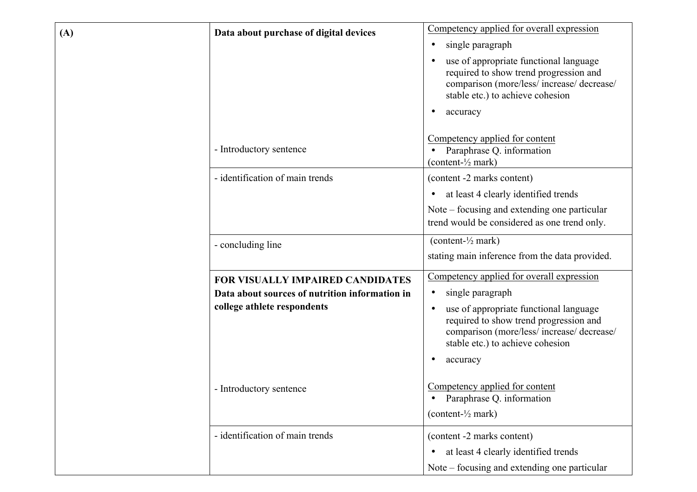| (A) | Data about purchase of digital devices         | Competency applied for overall expression                                                                                                                                                   |
|-----|------------------------------------------------|---------------------------------------------------------------------------------------------------------------------------------------------------------------------------------------------|
|     |                                                | single paragraph<br>$\bullet$                                                                                                                                                               |
|     |                                                | use of appropriate functional language<br>required to show trend progression and<br>comparison (more/less/ increase/ decrease/<br>stable etc.) to achieve cohesion<br>accuracy              |
|     | - Introductory sentence                        | Competency applied for content<br>Paraphrase Q. information<br>$\bullet$<br>(content- $\frac{1}{2}$ mark)                                                                                   |
|     | - identification of main trends                | (content -2 marks content)                                                                                                                                                                  |
|     |                                                | at least 4 clearly identified trends<br>$\bullet$                                                                                                                                           |
|     |                                                | Note – focusing and extending one particular<br>trend would be considered as one trend only.                                                                                                |
|     | - concluding line                              | (content- $\frac{1}{2}$ mark)                                                                                                                                                               |
|     |                                                | stating main inference from the data provided.                                                                                                                                              |
|     | FOR VISUALLY IMPAIRED CANDIDATES               | Competency applied for overall expression                                                                                                                                                   |
|     | Data about sources of nutrition information in | single paragraph<br>$\bullet$                                                                                                                                                               |
|     | college athlete respondents                    | use of appropriate functional language<br>$\bullet$<br>required to show trend progression and<br>comparison (more/less/ increase/ decrease/<br>stable etc.) to achieve cohesion<br>accuracy |
|     | - Introductory sentence                        | Competency applied for content<br>Paraphrase Q. information<br>(content- $\frac{1}{2}$ mark)                                                                                                |
|     | - identification of main trends                | (content -2 marks content)<br>at least 4 clearly identified trends                                                                                                                          |
|     |                                                | Note – focusing and extending one particular                                                                                                                                                |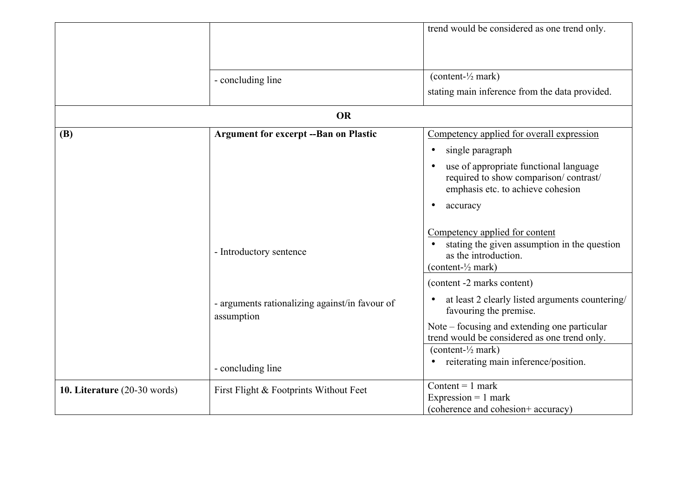|                              |                                                              | trend would be considered as one trend only.                                                                                            |
|------------------------------|--------------------------------------------------------------|-----------------------------------------------------------------------------------------------------------------------------------------|
|                              |                                                              |                                                                                                                                         |
|                              |                                                              |                                                                                                                                         |
|                              |                                                              | (content- $\frac{1}{2}$ mark)                                                                                                           |
|                              | - concluding line                                            |                                                                                                                                         |
|                              |                                                              | stating main inference from the data provided.                                                                                          |
|                              | <b>OR</b>                                                    |                                                                                                                                         |
| <b>(B)</b>                   | <b>Argument for excerpt -- Ban on Plastic</b>                | Competency applied for overall expression                                                                                               |
|                              |                                                              | single paragraph                                                                                                                        |
|                              |                                                              | use of appropriate functional language<br>required to show comparison/contrast/<br>emphasis etc. to achieve cohesion                    |
|                              |                                                              | accuracy                                                                                                                                |
|                              | - Introductory sentence                                      | Competency applied for content<br>stating the given assumption in the question<br>as the introduction.<br>(content- $\frac{1}{2}$ mark) |
|                              |                                                              | (content -2 marks content)                                                                                                              |
|                              | - arguments rationalizing against/in favour of<br>assumption | at least 2 clearly listed arguments countering/<br>favouring the premise.                                                               |
|                              |                                                              | Note – focusing and extending one particular<br>trend would be considered as one trend only.                                            |
|                              |                                                              | (content- $\frac{1}{2}$ mark)                                                                                                           |
|                              | - concluding line                                            | reiterating main inference/position.                                                                                                    |
| 10. Literature (20-30 words) | First Flight & Footprints Without Feet                       | Content = $1$ mark                                                                                                                      |
|                              |                                                              | Expression $= 1$ mark                                                                                                                   |
|                              |                                                              | (coherence and cohesion+ accuracy)                                                                                                      |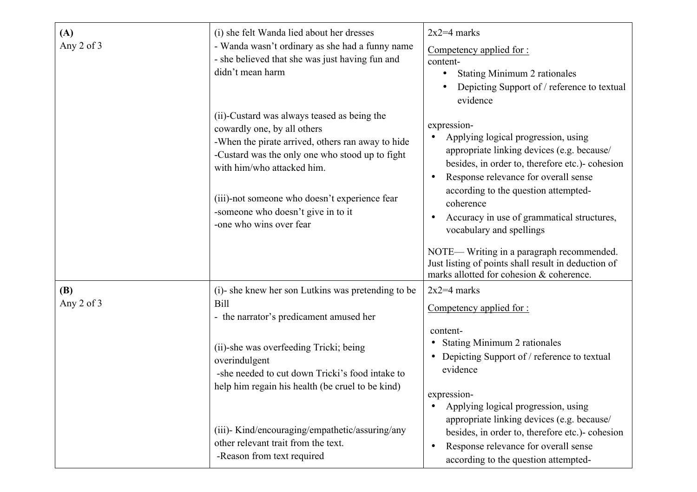| (A)<br>Any 2 of 3        | (i) she felt Wanda lied about her dresses<br>- Wanda wasn't ordinary as she had a funny name<br>- she believed that she was just having fun and<br>didn't mean harm                                                                                                                                                                | $2x2=4$ marks<br>Competency applied for:<br>content-<br><b>Stating Minimum 2 rationales</b><br>$\bullet$<br>Depicting Support of / reference to textual<br>evidence                                                                                                                                                                     |
|--------------------------|------------------------------------------------------------------------------------------------------------------------------------------------------------------------------------------------------------------------------------------------------------------------------------------------------------------------------------|-----------------------------------------------------------------------------------------------------------------------------------------------------------------------------------------------------------------------------------------------------------------------------------------------------------------------------------------|
|                          | (ii)-Custard was always teased as being the<br>cowardly one, by all others<br>-When the pirate arrived, others ran away to hide<br>-Custard was the only one who stood up to fight<br>with him/who attacked him.<br>(iii)-not someone who doesn't experience fear<br>-someone who doesn't give in to it<br>-one who wins over fear | expression-<br>Applying logical progression, using<br>appropriate linking devices (e.g. because/<br>besides, in order to, therefore etc.)- cohesion<br>Response relevance for overall sense<br>according to the question attempted-<br>coherence<br>Accuracy in use of grammatical structures,<br>$\bullet$<br>vocabulary and spellings |
|                          |                                                                                                                                                                                                                                                                                                                                    | NOTE— Writing in a paragraph recommended.<br>Just listing of points shall result in deduction of<br>marks allotted for cohesion & coherence.                                                                                                                                                                                            |
| <b>(B)</b><br>Any 2 of 3 | (i)- she knew her son Lutkins was pretending to be<br><b>Bill</b><br>- the narrator's predicament amused her                                                                                                                                                                                                                       | $2x2=4$ marks<br>Competency applied for:                                                                                                                                                                                                                                                                                                |
|                          | (ii)-she was overfeeding Tricki; being<br>overindulgent<br>-she needed to cut down Tricki's food intake to<br>help him regain his health (be cruel to be kind)                                                                                                                                                                     | content-<br><b>Stating Minimum 2 rationales</b><br>$\bullet$<br>Depicting Support of / reference to textual<br>evidence<br>expression-                                                                                                                                                                                                  |
|                          | (iii)- Kind/encouraging/empathetic/assuring/any<br>other relevant trait from the text.<br>-Reason from text required                                                                                                                                                                                                               | Applying logical progression, using<br>$\bullet$<br>appropriate linking devices (e.g. because/<br>besides, in order to, therefore etc.)- cohesion<br>Response relevance for overall sense<br>$\bullet$<br>according to the question attempted-                                                                                          |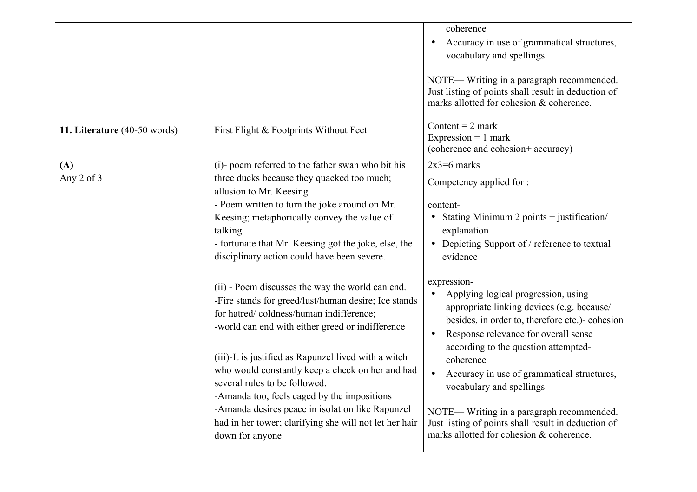|                              |                                                                                                                                                                                                                                                                                                                           | coherence<br>Accuracy in use of grammatical structures,<br>vocabulary and spellings<br>NOTE— Writing in a paragraph recommended.<br>Just listing of points shall result in deduction of<br>marks allotted for cohesion & coherence.<br>Content = $2$ mark |
|------------------------------|---------------------------------------------------------------------------------------------------------------------------------------------------------------------------------------------------------------------------------------------------------------------------------------------------------------------------|-----------------------------------------------------------------------------------------------------------------------------------------------------------------------------------------------------------------------------------------------------------|
| 11. Literature (40-50 words) | First Flight & Footprints Without Feet                                                                                                                                                                                                                                                                                    | Expression $= 1$ mark<br>(coherence and cohesion+ accuracy)                                                                                                                                                                                               |
| (A)<br>Any 2 of 3            | (i)- poem referred to the father swan who bit his<br>three ducks because they quacked too much;<br>allusion to Mr. Keesing<br>- Poem written to turn the joke around on Mr.<br>Keesing; metaphorically convey the value of<br>talking                                                                                     | $2x3=6$ marks<br>Competency applied for:<br>content-<br>• Stating Minimum 2 points + justification/<br>explanation                                                                                                                                        |
|                              | - fortunate that Mr. Keesing got the joke, else, the<br>disciplinary action could have been severe.                                                                                                                                                                                                                       | • Depicting Support of / reference to textual<br>evidence                                                                                                                                                                                                 |
|                              | (ii) - Poem discusses the way the world can end.<br>-Fire stands for greed/lust/human desire; Ice stands<br>for hatred/coldness/human indifference;<br>-world can end with either greed or indifference                                                                                                                   | expression-<br>Applying logical progression, using<br>appropriate linking devices (e.g. because/<br>besides, in order to, therefore etc.)- cohesion<br>Response relevance for overall sense<br>according to the question attempted-                       |
|                              | (iii)-It is justified as Rapunzel lived with a witch<br>who would constantly keep a check on her and had<br>several rules to be followed.<br>-Amanda too, feels caged by the impositions<br>-Amanda desires peace in isolation like Rapunzel<br>had in her tower; clarifying she will not let her hair<br>down for anyone | coherence<br>Accuracy in use of grammatical structures,<br>vocabulary and spellings<br>NOTE— Writing in a paragraph recommended.<br>Just listing of points shall result in deduction of<br>marks allotted for cohesion & coherence.                       |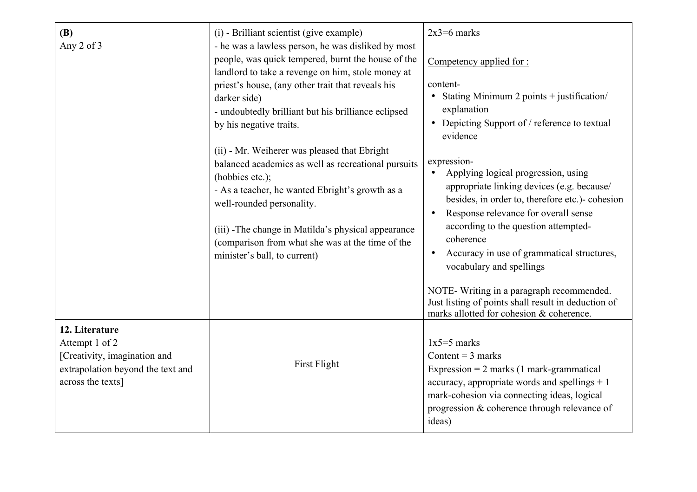| (B)<br>Any 2 of 3                                                                                                          | (i) - Brilliant scientist (give example)<br>- he was a lawless person, he was disliked by most<br>people, was quick tempered, burnt the house of the<br>landlord to take a revenge on him, stole money at<br>priest's house, (any other trait that reveals his<br>darker side)<br>- undoubtedly brilliant but his brilliance eclipsed<br>by his negative traits.<br>(ii) - Mr. Weiherer was pleased that Ebright<br>balanced academics as well as recreational pursuits<br>(hobbies etc.);<br>- As a teacher, he wanted Ebright's growth as a<br>well-rounded personality.<br>(iii) -The change in Matilda's physical appearance<br>(comparison from what she was at the time of the<br>minister's ball, to current) | $2x3=6$ marks<br>Competency applied for :<br>content-<br>Stating Minimum 2 points + justification/<br>$\bullet$<br>explanation<br>• Depicting Support of / reference to textual<br>evidence<br>expression-<br>Applying logical progression, using<br>appropriate linking devices (e.g. because/<br>besides, in order to, therefore etc.)- cohesion<br>Response relevance for overall sense<br>$\bullet$<br>according to the question attempted-<br>coherence<br>Accuracy in use of grammatical structures,<br>vocabulary and spellings |
|----------------------------------------------------------------------------------------------------------------------------|----------------------------------------------------------------------------------------------------------------------------------------------------------------------------------------------------------------------------------------------------------------------------------------------------------------------------------------------------------------------------------------------------------------------------------------------------------------------------------------------------------------------------------------------------------------------------------------------------------------------------------------------------------------------------------------------------------------------|----------------------------------------------------------------------------------------------------------------------------------------------------------------------------------------------------------------------------------------------------------------------------------------------------------------------------------------------------------------------------------------------------------------------------------------------------------------------------------------------------------------------------------------|
|                                                                                                                            |                                                                                                                                                                                                                                                                                                                                                                                                                                                                                                                                                                                                                                                                                                                      | NOTE- Writing in a paragraph recommended.<br>Just listing of points shall result in deduction of<br>marks allotted for cohesion & coherence.                                                                                                                                                                                                                                                                                                                                                                                           |
| 12. Literature<br>Attempt 1 of 2<br>[Creativity, imagination and<br>extrapolation beyond the text and<br>across the texts] | First Flight                                                                                                                                                                                                                                                                                                                                                                                                                                                                                                                                                                                                                                                                                                         | $1x5=5$ marks<br>Content = $3$ marks<br>Expression = $2$ marks (1 mark-grammatical<br>accuracy, appropriate words and spellings $+1$<br>mark-cohesion via connecting ideas, logical<br>progression & coherence through relevance of<br>ideas)                                                                                                                                                                                                                                                                                          |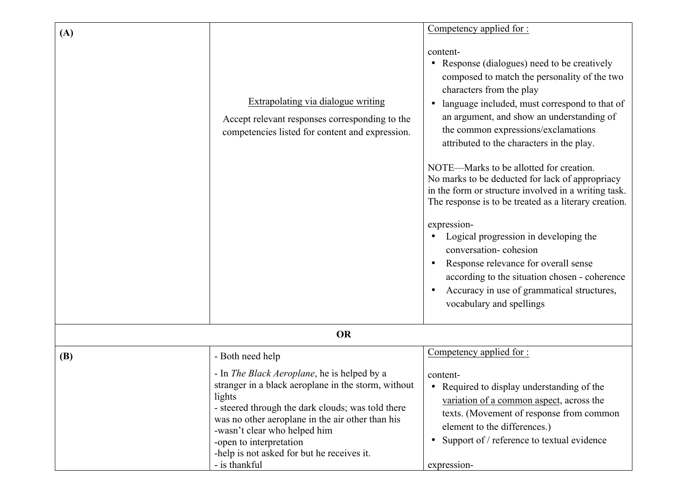| (A)        |                                                                                                                                                                                                                                                                                                                                                         | Competency applied for:                                                                                                                                                                                                                                                                                                                                                                                                                                                                                                                                                                                                                                                                                                                                                                 |
|------------|---------------------------------------------------------------------------------------------------------------------------------------------------------------------------------------------------------------------------------------------------------------------------------------------------------------------------------------------------------|-----------------------------------------------------------------------------------------------------------------------------------------------------------------------------------------------------------------------------------------------------------------------------------------------------------------------------------------------------------------------------------------------------------------------------------------------------------------------------------------------------------------------------------------------------------------------------------------------------------------------------------------------------------------------------------------------------------------------------------------------------------------------------------------|
|            | <b>Extrapolating via dialogue writing</b><br>Accept relevant responses corresponding to the<br>competencies listed for content and expression.                                                                                                                                                                                                          | content-<br>Response (dialogues) need to be creatively<br>composed to match the personality of the two<br>characters from the play<br>language included, must correspond to that of<br>an argument, and show an understanding of<br>the common expressions/exclamations<br>attributed to the characters in the play.<br>NOTE—Marks to be allotted for creation.<br>No marks to be deducted for lack of appropriacy<br>in the form or structure involved in a writing task.<br>The response is to be treated as a literary creation.<br>expression-<br>Logical progression in developing the<br>conversation-cohesion<br>Response relevance for overall sense<br>according to the situation chosen - coherence<br>Accuracy in use of grammatical structures,<br>vocabulary and spellings |
|            | <b>OR</b>                                                                                                                                                                                                                                                                                                                                               |                                                                                                                                                                                                                                                                                                                                                                                                                                                                                                                                                                                                                                                                                                                                                                                         |
| <b>(B)</b> | - Both need help                                                                                                                                                                                                                                                                                                                                        | Competency applied for :                                                                                                                                                                                                                                                                                                                                                                                                                                                                                                                                                                                                                                                                                                                                                                |
|            | - In <i>The Black Aeroplane</i> , he is helped by a<br>stranger in a black aeroplane in the storm, without<br>lights<br>- steered through the dark clouds; was told there<br>was no other aeroplane in the air other than his<br>-wasn't clear who helped him<br>-open to interpretation<br>-help is not asked for but he receives it.<br>- is thankful | content-<br>• Required to display understanding of the<br>variation of a common aspect, across the<br>texts. (Movement of response from common<br>element to the differences.)<br>Support of / reference to textual evidence<br>expression-                                                                                                                                                                                                                                                                                                                                                                                                                                                                                                                                             |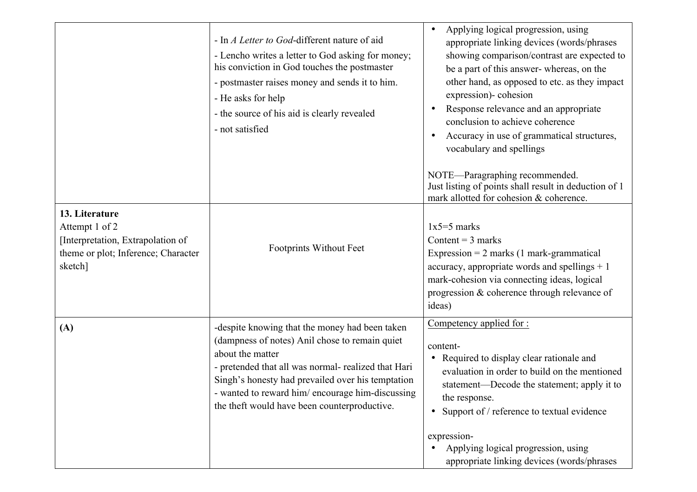|                                                                                                                         | - In <i>A Letter to God</i> -different nature of aid<br>- Lencho writes a letter to God asking for money;<br>his conviction in God touches the postmaster<br>- postmaster raises money and sends it to him.<br>- He asks for help<br>- the source of his aid is clearly revealed<br>- not satisfied                                 | Applying logical progression, using<br>appropriate linking devices (words/phrases<br>showing comparison/contrast are expected to<br>be a part of this answer-whereas, on the<br>other hand, as opposed to etc. as they impact<br>expression)- cohesion<br>Response relevance and an appropriate<br>conclusion to achieve coherence<br>Accuracy in use of grammatical structures,<br>vocabulary and spellings<br>NOTE-Paragraphing recommended.<br>Just listing of points shall result in deduction of 1 |
|-------------------------------------------------------------------------------------------------------------------------|-------------------------------------------------------------------------------------------------------------------------------------------------------------------------------------------------------------------------------------------------------------------------------------------------------------------------------------|---------------------------------------------------------------------------------------------------------------------------------------------------------------------------------------------------------------------------------------------------------------------------------------------------------------------------------------------------------------------------------------------------------------------------------------------------------------------------------------------------------|
| 13. Literature<br>Attempt 1 of 2<br>[Interpretation, Extrapolation of<br>theme or plot; Inference; Character<br>sketch] | Footprints Without Feet                                                                                                                                                                                                                                                                                                             | mark allotted for cohesion & coherence.<br>$1x5=5$ marks<br>Content = $3$ marks<br>Expression = $2$ marks (1 mark-grammatical<br>accuracy, appropriate words and spellings $+1$<br>mark-cohesion via connecting ideas, logical<br>progression & coherence through relevance of<br>ideas)                                                                                                                                                                                                                |
| (A)                                                                                                                     | -despite knowing that the money had been taken<br>(dampness of notes) Anil chose to remain quiet<br>about the matter<br>- pretended that all was normal- realized that Hari<br>Singh's honesty had prevailed over his temptation<br>- wanted to reward him/encourage him-discussing<br>the theft would have been counterproductive. | Competency applied for :<br>content-<br>• Required to display clear rationale and<br>evaluation in order to build on the mentioned<br>statement—Decode the statement; apply it to<br>the response.<br>• Support of / reference to textual evidence<br>expression-<br>Applying logical progression, using<br>appropriate linking devices (words/phrases                                                                                                                                                  |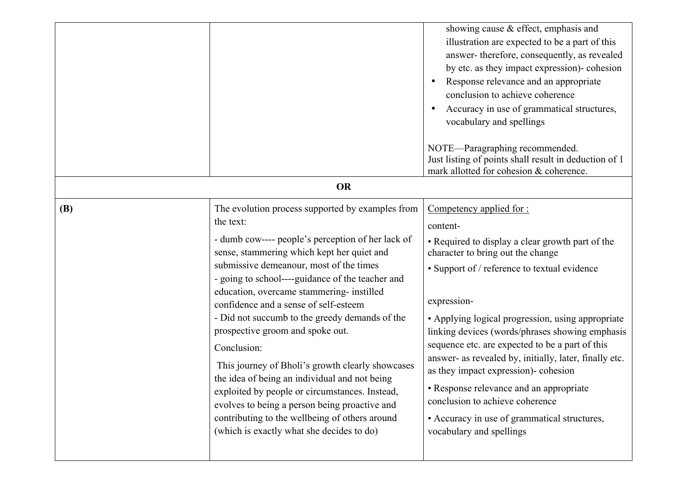|            |                                                                                                                                                                                                                                                                                                                                                                                                                                                                                                                                                                                                                                                                                                                                                                   | showing cause & effect, emphasis and<br>illustration are expected to be a part of this<br>answer-therefore, consequently, as revealed<br>by etc. as they impact expression)- cohesion<br>Response relevance and an appropriate<br>conclusion to achieve coherence<br>Accuracy in use of grammatical structures,<br>vocabulary and spellings<br>NOTE—Paragraphing recommended.<br>Just listing of points shall result in deduction of 1<br>mark allotted for cohesion & coherence.                                                                                                                                   |
|------------|-------------------------------------------------------------------------------------------------------------------------------------------------------------------------------------------------------------------------------------------------------------------------------------------------------------------------------------------------------------------------------------------------------------------------------------------------------------------------------------------------------------------------------------------------------------------------------------------------------------------------------------------------------------------------------------------------------------------------------------------------------------------|---------------------------------------------------------------------------------------------------------------------------------------------------------------------------------------------------------------------------------------------------------------------------------------------------------------------------------------------------------------------------------------------------------------------------------------------------------------------------------------------------------------------------------------------------------------------------------------------------------------------|
| <b>OR</b>  |                                                                                                                                                                                                                                                                                                                                                                                                                                                                                                                                                                                                                                                                                                                                                                   |                                                                                                                                                                                                                                                                                                                                                                                                                                                                                                                                                                                                                     |
| <b>(B)</b> | The evolution process supported by examples from<br>the text:<br>- dumb cow---- people's perception of her lack of<br>sense, stammering which kept her quiet and<br>submissive demeanour, most of the times<br>- going to school----guidance of the teacher and<br>education, overcame stammering- instilled<br>confidence and a sense of self-esteem<br>- Did not succumb to the greedy demands of the<br>prospective groom and spoke out.<br>Conclusion:<br>This journey of Bholi's growth clearly showcases<br>the idea of being an individual and not being<br>exploited by people or circumstances. Instead,<br>evolves to being a person being proactive and<br>contributing to the wellbeing of others around<br>(which is exactly what she decides to do) | Competency applied for :<br>content-<br>• Required to display a clear growth part of the<br>character to bring out the change<br>• Support of / reference to textual evidence<br>expression-<br>• Applying logical progression, using appropriate<br>linking devices (words/phrases showing emphasis<br>sequence etc. are expected to be a part of this<br>answer- as revealed by, initially, later, finally etc.<br>as they impact expression)- cohesion<br>• Response relevance and an appropriate<br>conclusion to achieve coherence<br>• Accuracy in use of grammatical structures,<br>vocabulary and spellings |